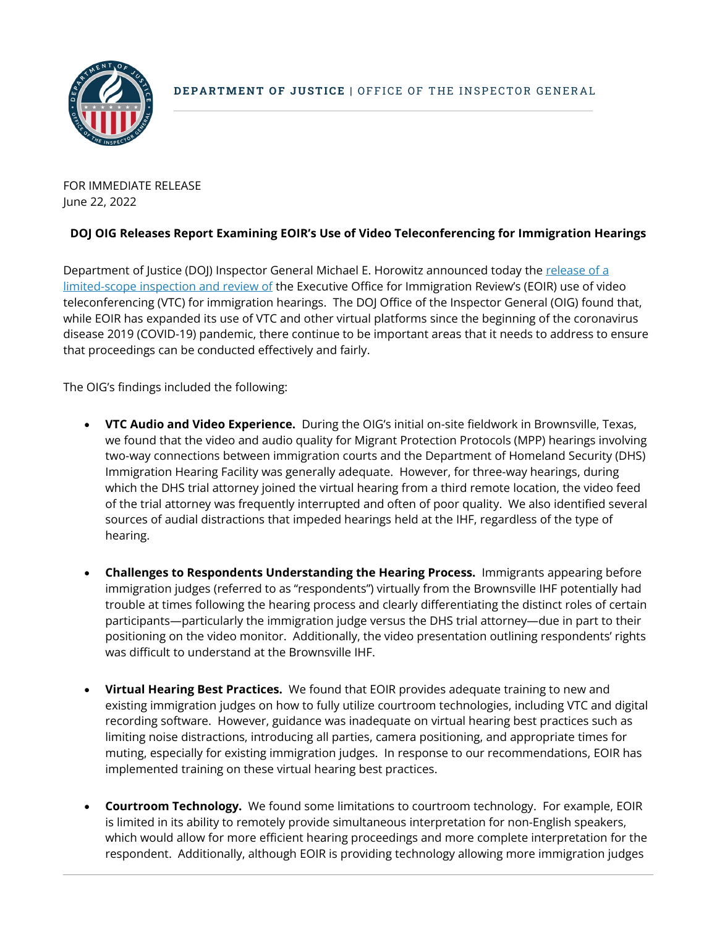

FOR IMMEDIATE RELEASE June 22, 2022

## **DOJ OIG Releases Report Examining EOIR's Use of Video Teleconferencing for Immigration Hearings**

Department of Justice (DOJ) Inspector General Michael E. Horowitz announced today the release of a [limited-scope inspection and review of](https://oig.justice.gov/reports/limited-scope-inspection-and-review-video-teleconference-use-immigration-hearings) the Executive Office for Immigration Review's (EOIR) use of video teleconferencing (VTC) for immigration hearings. The DOJ Office of the Inspector General (OIG) found that, while EOIR has expanded its use of VTC and other virtual platforms since the beginning of the coronavirus disease 2019 (COVID-19) pandemic, there continue to be important areas that it needs to address to ensure that proceedings can be conducted effectively and fairly.

The OIG's findings included the following:

- **VTC Audio and Video Experience.** During the OIG's initial on-site fieldwork in Brownsville, Texas, we found that the video and audio quality for Migrant Protection Protocols (MPP) hearings involving two-way connections between immigration courts and the Department of Homeland Security (DHS) Immigration Hearing Facility was generally adequate. However, for three-way hearings, during which the DHS trial attorney joined the virtual hearing from a third remote location, the video feed of the trial attorney was frequently interrupted and often of poor quality. We also identified several sources of audial distractions that impeded hearings held at the IHF, regardless of the type of hearing.
- **Challenges to Respondents Understanding the Hearing Process.** Immigrants appearing before immigration judges (referred to as "respondents") virtually from the Brownsville IHF potentially had trouble at times following the hearing process and clearly differentiating the distinct roles of certain participants—particularly the immigration judge versus the DHS trial attorney—due in part to their positioning on the video monitor. Additionally, the video presentation outlining respondents' rights was difficult to understand at the Brownsville IHF.
- **Virtual Hearing Best Practices.** We found that EOIR provides adequate training to new and existing immigration judges on how to fully utilize courtroom technologies, including VTC and digital recording software. However, guidance was inadequate on virtual hearing best practices such as limiting noise distractions, introducing all parties, camera positioning, and appropriate times for muting, especially for existing immigration judges. In response to our recommendations, EOIR has implemented training on these virtual hearing best practices.
- **Courtroom Technology.** We found some limitations to courtroom technology. For example, EOIR is limited in its ability to remotely provide simultaneous interpretation for non-English speakers, which would allow for more efficient hearing proceedings and more complete interpretation for the respondent. Additionally, although EOIR is providing technology allowing more immigration judges